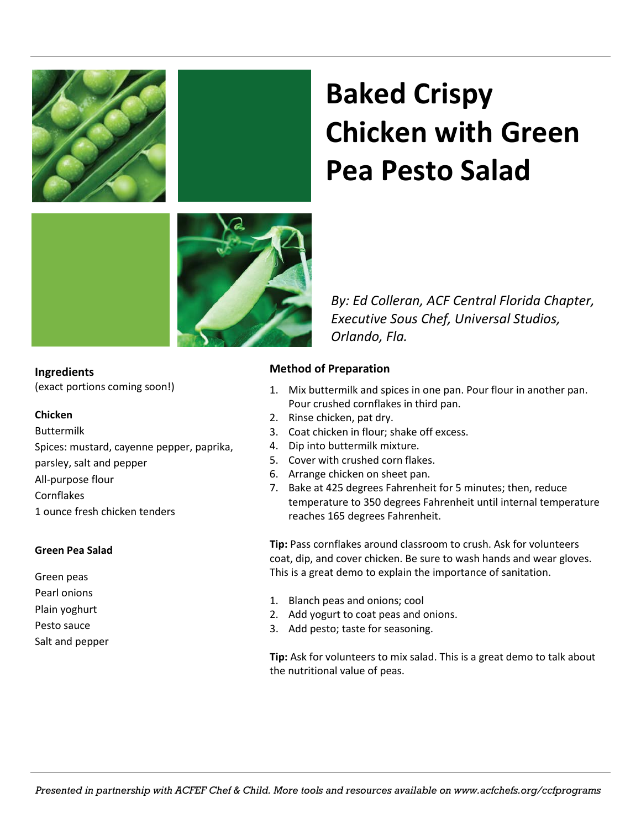

# **Baked Crispy Chicken with Green Pea Pesto Salad**

*By: Ed Colleran, ACF Central Florida Chapter, Executive Sous Chef, Universal Studios, Orlando, Fla.*

### **Ingredients**

(exact portions coming soon!)

#### **Chicken**

Buttermilk Spices: mustard, cayenne pepper, paprika, parsley, salt and pepper All-purpose flour Cornflakes 1 ounce fresh chicken tenders

### **Green Pea Salad**

Green peas Pearl onions

- Plain yoghurt
- Pesto sauce
- Salt and pepper

### **Method of Preparation**

- 1. Mix buttermilk and spices in one pan. Pour flour in another pan. Pour crushed cornflakes in third pan.
- 2. Rinse chicken, pat dry.
- 3. Coat chicken in flour; shake off excess.
- 4. Dip into buttermilk mixture.
- 5. Cover with crushed corn flakes.
- 6. Arrange chicken on sheet pan.
- 7. Bake at 425 degrees Fahrenheit for 5 minutes; then, reduce temperature to 350 degrees Fahrenheit until internal temperature reaches 165 degrees Fahrenheit.

**Tip:** Pass cornflakes around classroom to crush. Ask for volunteers coat, dip, and cover chicken. Be sure to wash hands and wear gloves. This is a great demo to explain the importance of sanitation.

- 1. Blanch peas and onions; cool
- 2. Add yogurt to coat peas and onions.
- 3. Add pesto; taste for seasoning.

**Tip:** Ask for volunteers to mix salad. This is a great demo to talk about the nutritional value of peas.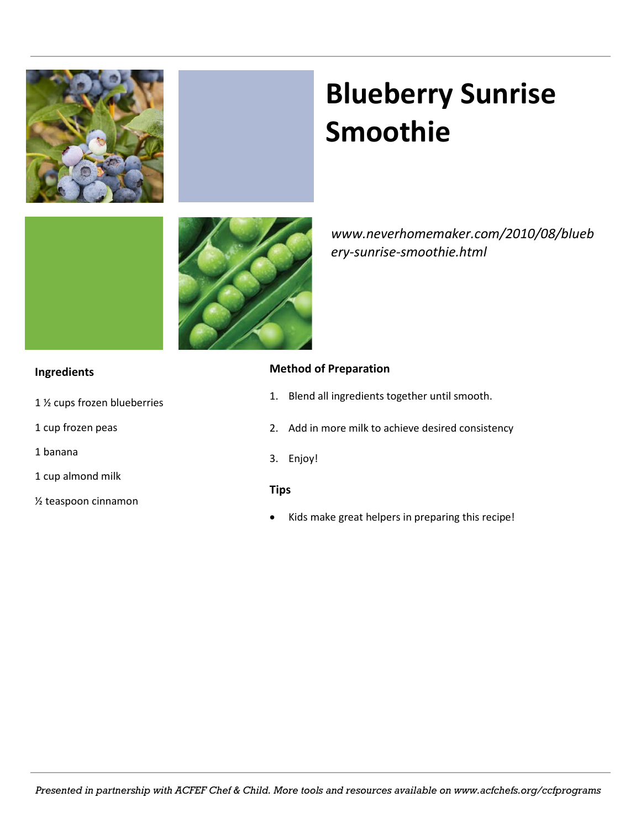

# **Blueberry Sunrise Smoothie**



*www.neverhomemaker.com/2010/08/blueb ery-sunrise-smoothie.html*

### **Ingredients**

- 1 ½ cups frozen blueberries
- 1 cup frozen peas
- 1 banana
- 1 cup almond milk
- ½ teaspoon cinnamon

### **Method of Preparation**

- 1. Blend all ingredients together until smooth.
- 2. Add in more milk to achieve desired consistency
- 3. Enjoy!

### **Tips**

Kids make great helpers in preparing this recipe!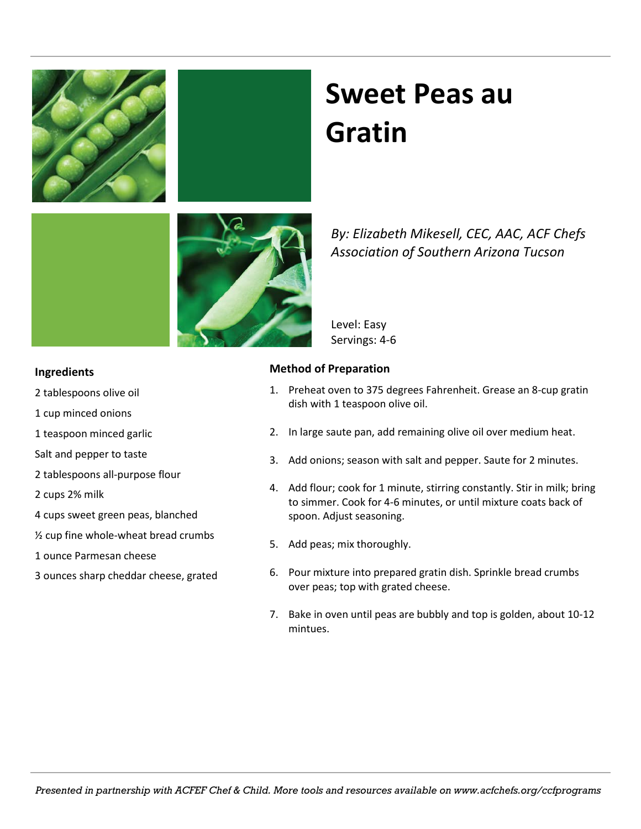### **Sweet Peas au Gratin**

*By: Elizabeth Mikesell, CEC, AAC, ACF Chefs Association of Southern Arizona Tucson*

Level: Easy Servings: 4-6

### **Method of Preparation**

- 1. Preheat oven to 375 degrees Fahrenheit. Grease an 8-cup gratin dish with 1 teaspoon olive oil.
- 2. In large saute pan, add remaining olive oil over medium heat.
- 3. Add onions; season with salt and pepper. Saute for 2 minutes.
- 4. Add flour; cook for 1 minute, stirring constantly. Stir in milk; bring to simmer. Cook for 4-6 minutes, or until mixture coats back of spoon. Adjust seasoning.
- 5. Add peas; mix thoroughly.
- 6. Pour mixture into prepared gratin dish. Sprinkle bread crumbs over peas; top with grated cheese.
- 7. Bake in oven until peas are bubbly and top is golden, about 10-12 mintues.

### 2 tablespoons olive oil

**Ingredients**

- 1 cup minced onions
- 1 teaspoon minced garlic
- Salt and pepper to taste
- 2 tablespoons all-purpose flour
- 2 cups 2% milk
- 4 cups sweet green peas, blanched
- ½ cup fine whole-wheat bread crumbs
- 1 ounce Parmesan cheese
- 3 ounces sharp cheddar cheese, grated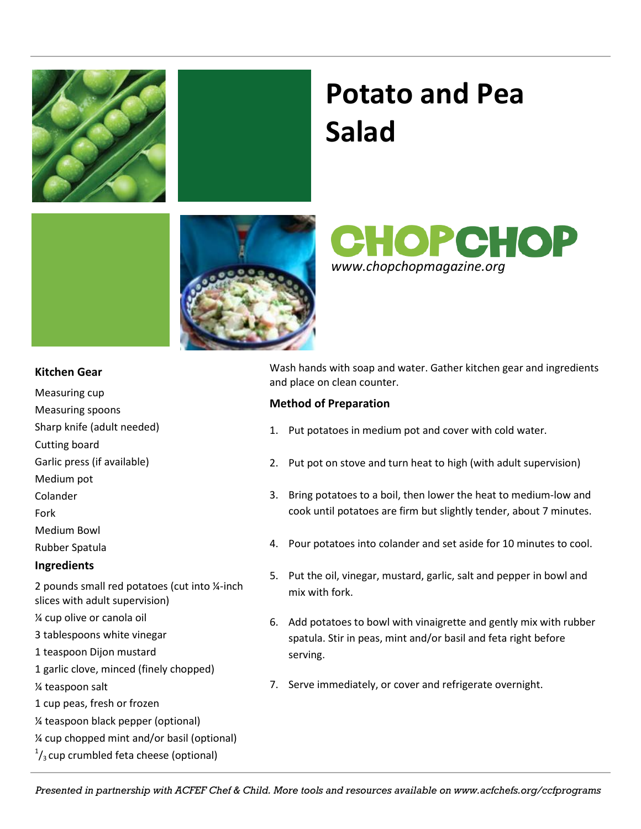

### **Potato and Pea Salad**





### **Kitchen Gear**

- Measuring cup
- Measuring spoons
- Sharp knife (adult needed)
- Cutting board
- Garlic press (if available)
- Medium pot
- Colander
- Fork
- Medium Bowl
- Rubber Spatula

### **Ingredients**

- 2 pounds small red potatoes (cut into ¼-inch slices with adult supervision)
- ¼ cup olive or canola oil
- 3 tablespoons white vinegar
- 1 teaspoon Dijon mustard
- 1 garlic clove, minced (finely chopped)
- ¼ teaspoon salt
- 1 cup peas, fresh or frozen
- ¼ teaspoon black pepper (optional)
- ¼ cup chopped mint and/or basil (optional)
- $\frac{1}{3}$ cup crumbled feta cheese (optional)

Wash hands with soap and water. Gather kitchen gear and ingredients and place on clean counter.

### **Method of Preparation**

- 1. Put potatoes in medium pot and cover with cold water.
- 2. Put pot on stove and turn heat to high (with adult supervision)
- 3. Bring potatoes to a boil, then lower the heat to medium-low and cook until potatoes are firm but slightly tender, about 7 minutes.
- 4. Pour potatoes into colander and set aside for 10 minutes to cool.
- 5. Put the oil, vinegar, mustard, garlic, salt and pepper in bowl and mix with fork.
- 6. Add potatoes to bowl with vinaigrette and gently mix with rubber spatula. Stir in peas, mint and/or basil and feta right before serving.
- 7. Serve immediately, or cover and refrigerate overnight.

*Presented in partnership with ACFEF Chef & Child. More tools and resources available on www.acfchefs.org/ccfprograms*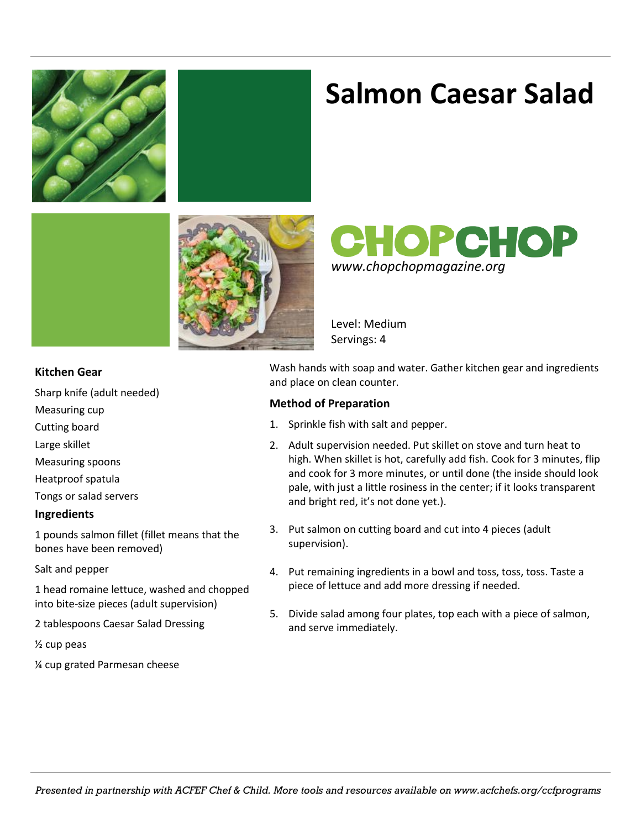

### **Salmon Caesar Salad**





Level: Medium Servings: 4

### **Kitchen Gear**

Sharp knife (adult needed)

- Measuring cup
- Cutting board

Large skillet

- Measuring spoons
- Heatproof spatula

Tongs or salad servers

#### **Ingredients**

1 pounds salmon fillet (fillet means that the bones have been removed)

Salt and pepper

1 head romaine lettuce, washed and chopped into bite-size pieces (adult supervision)

2 tablespoons Caesar Salad Dressing

½ cup peas

¼ cup grated Parmesan cheese

Wash hands with soap and water. Gather kitchen gear and ingredients and place on clean counter.

### **Method of Preparation**

- 1. Sprinkle fish with salt and pepper.
- 2. Adult supervision needed. Put skillet on stove and turn heat to high. When skillet is hot, carefully add fish. Cook for 3 minutes, flip and cook for 3 more minutes, or until done (the inside should look pale, with just a little rosiness in the center; if it looks transparent and bright red, it's not done yet.).
- 3. Put salmon on cutting board and cut into 4 pieces (adult supervision).
- 4. Put remaining ingredients in a bowl and toss, toss, toss. Taste a piece of lettuce and add more dressing if needed.
- 5. Divide salad among four plates, top each with a piece of salmon, and serve immediately.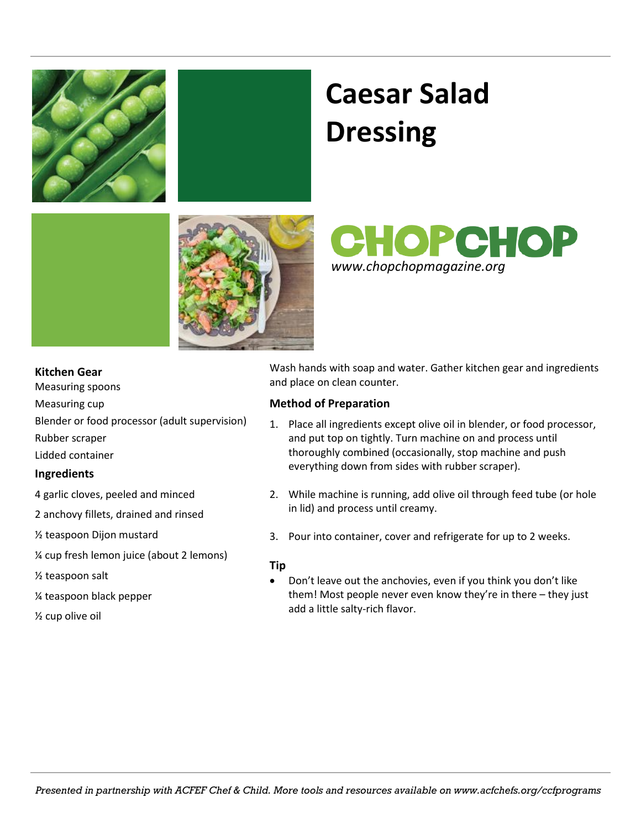

# **Caesar Salad Dressing**



**CHOPCHOP** *www.chopchopmagazine.org*

### **Kitchen Gear**

Measuring spoons Measuring cup Blender or food processor (adult supervision) Rubber scraper Lidded container

### **Ingredients**

- 4 garlic cloves, peeled and minced
- 2 anchovy fillets, drained and rinsed

½ teaspoon Dijon mustard

¼ cup fresh lemon juice (about 2 lemons)

½ teaspoon salt

¼ teaspoon black pepper

½ cup olive oil

Wash hands with soap and water. Gather kitchen gear and ingredients and place on clean counter.

### **Method of Preparation**

- 1. Place all ingredients except olive oil in blender, or food processor, and put top on tightly. Turn machine on and process until thoroughly combined (occasionally, stop machine and push everything down from sides with rubber scraper).
- 2. While machine is running, add olive oil through feed tube (or hole in lid) and process until creamy.
- 3. Pour into container, cover and refrigerate for up to 2 weeks.

### **Tip**

• Don't leave out the anchovies, even if you think you don't like them! Most people never even know they're in there – they just add a little salty-rich flavor.